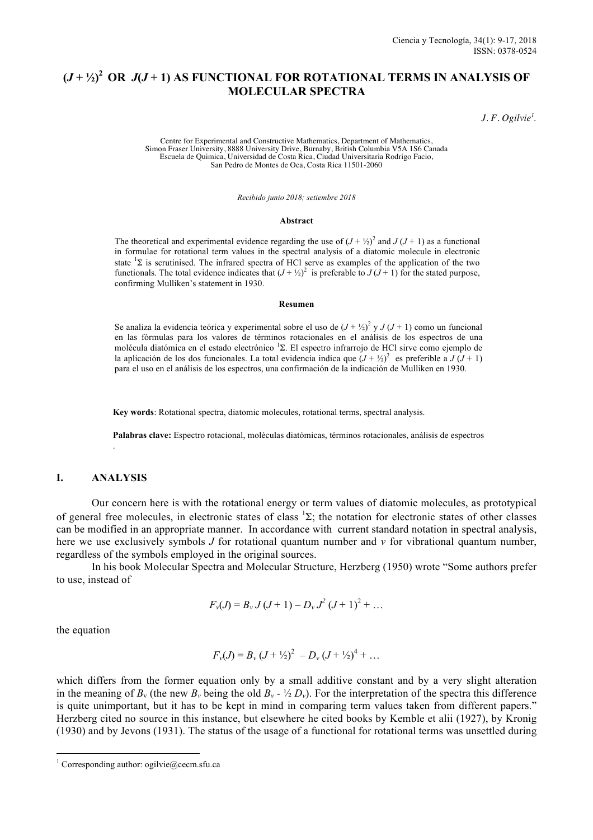# $(J + \frac{1}{2})^2$  OR  $J(J + 1)$  AS FUNCTIONAL FOR ROTATIONAL TERMS IN ANALYSIS OF **MOLECULAR SPECTRA**

*J. F. Ogilvie<sup>1</sup> .*

Centre for Experimental and Constructive Mathematics, Department of Mathematics, Simon Fraser University, 8888 University Drive, Burnaby, British Columbia V5A 1S6 Canada Escuela de Quimica, Universidad de Costa Rica, Ciudad Universitaria Rodrigo Facio, San Pedro de Montes de Oca, Costa Rica 11501-2060

*Recibido junio 2018; setiembre 2018*

#### **Abstract**

The theoretical and experimental evidence regarding the use of  $(J + \frac{1}{2})^2$  and  $J (J + 1)$  as a functional in formulae for rotational term values in the spectral analysis of a diatomic molecule in electronic state  ${}^{1}\Sigma$  is scrutinised. The infrared spectra of HCl serve as examples of the application of the two functionals. The total evidence indicates that  $(J + \frac{1}{2})^2$  is preferable to  $J(J + 1)$  for the stated purpose, confirming Mulliken's statement in 1930.

#### **Resumen**

Se analiza la evidencia teórica y experimental sobre el uso de  $(J + \frac{1}{2})^2$  y  $J (J + 1)$  como un funcional en las fórmulas para los valores de términos rotacionales en el análisis de los espectros de una molécula diatómica en el estado electrónico <sup>1</sup>Σ. El espectro infrarrojo de HCl sirve como ejemplo de la aplicación de los dos funcionales. La total evidencia indica que  $(J + \frac{1}{2})^2$  es preferible a  $J (J + 1)$ para el uso en el análisis de los espectros, una confirmación de la indicación de Mulliken en 1930.

**Key words**: Rotational spectra, diatomic molecules, rotational terms, spectral analysis.

**Palabras clave:** Espectro rotacional, moléculas diatómicas, términos rotacionales, análisis de espectros

## **I. ANALYSIS**

.

Our concern here is with the rotational energy or term values of diatomic molecules, as prototypical of general free molecules, in electronic states of class  ${}^{1}\Sigma$ ; the notation for electronic states of other classes can be modified in an appropriate manner. In accordance with current standard notation in spectral analysis, here we use exclusively symbols *J* for rotational quantum number and *v* for vibrational quantum number, regardless of the symbols employed in the original sources.

In his book Molecular Spectra and Molecular Structure, Herzberg (1950) wrote "Some authors prefer to use, instead of

$$
F_{\nu}(J) = B_{\nu} J (J + 1) - D_{\nu} J^{2} (J + 1)^{2} + \dots
$$

the equation

$$
F_v(J) = B_v (J + \frac{1}{2})^2 - D_v (J + \frac{1}{2})^4 + \dots
$$

which differs from the former equation only by a small additive constant and by a very slight alteration in the meaning of  $B_v$  (the new  $B_v$  being the old  $B_v$  -  $\frac{1}{2}D_v$ ). For the interpretation of the spectra this difference is quite unimportant, but it has to be kept in mind in comparing term values taken from different papers." Herzberg cited no source in this instance, but elsewhere he cited books by Kemble et alii (1927), by Kronig (1930) and by Jevons (1931). The status of the usage of a functional for rotational terms was unsettled during

<sup>&</sup>lt;sup>1</sup> Corresponding author: ogilvie@cecm.sfu.ca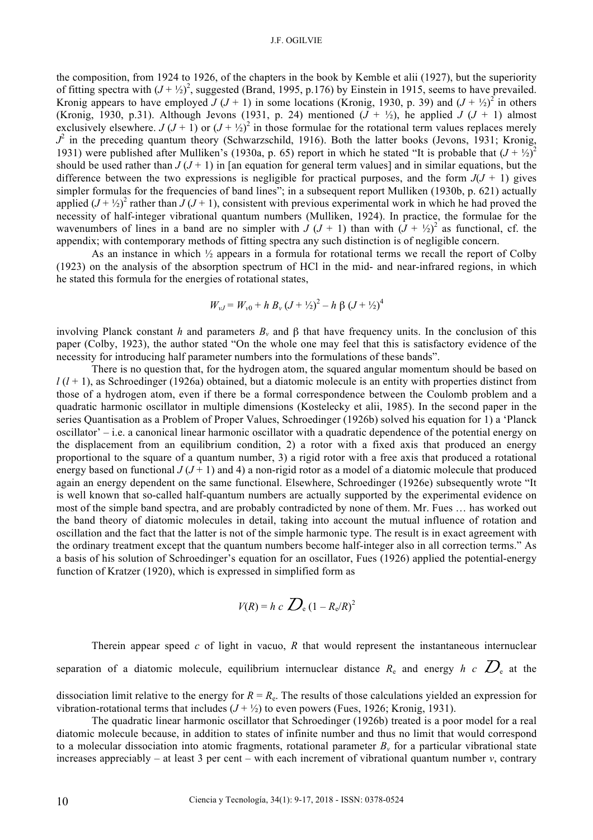#### J.F. OGILVIE

the composition, from 1924 to 1926, of the chapters in the book by Kemble et alii (1927), but the superiority of fitting spectra with  $(J + \frac{1}{2})^2$ , suggested (Brand, 1995, p.176) by Einstein in 1915, seems to have prevailed. Kronig appears to have employed  $J (J + 1)$  in some locations (Kronig, 1930, p. 39) and  $(J + \frac{1}{2})^2$  in others (Kronig, 1930, p.31). Although Jevons (1931, p. 24) mentioned  $(J + \frac{1}{2})$ , he applied  $J (J + 1)$  almost exclusively elsewhere.  $J (J + 1)$  or  $(J + \frac{1}{2})^2$  in those formulae for the rotational term values replaces merely  $J^2$  in the preceding quantum theory (Schwarzschild, 1916). Both the latter books (Jevons, 1931; Kronig, 1931) were published after Mulliken's (1930a, p. 65) report in which he stated "It is probable that  $(J + \frac{1}{2})^2$ should be used rather than  $J(J + 1)$  in [an equation for general term values] and in similar equations, but the difference between the two expressions is negligible for practical purposes, and the form  $J(J + 1)$  gives simpler formulas for the frequencies of band lines"; in a subsequent report Mulliken (1930b, p. 621) actually applied  $(J + \frac{1}{2})^2$  rather than  $J (J + 1)$ , consistent with previous experimental work in which he had proved the necessity of half-integer vibrational quantum numbers (Mulliken, 1924). In practice, the formulae for the wavenumbers of lines in a band are no simpler with  $J (J + 1)$  than with  $(J + \frac{1}{2})^2$  as functional, cf. the appendix; with contemporary methods of fitting spectra any such distinction is of negligible concern.

As an instance in which ½ appears in a formula for rotational terms we recall the report of Colby (1923) on the analysis of the absorption spectrum of HCl in the mid- and near-infrared regions, in which he stated this formula for the energies of rotational states,

$$
W_{\nu J} = W_{\nu 0} + h B_{\nu} (J + \frac{1}{2})^2 - h \beta (J + \frac{1}{2})^4
$$

involving Planck constant *h* and parameters  $B_y$  and  $\beta$  that have frequency units. In the conclusion of this paper (Colby, 1923), the author stated "On the whole one may feel that this is satisfactory evidence of the necessity for introducing half parameter numbers into the formulations of these bands".

There is no question that, for the hydrogen atom, the squared angular momentum should be based on  $l(l+1)$ , as Schroedinger (1926a) obtained, but a diatomic molecule is an entity with properties distinct from those of a hydrogen atom, even if there be a formal correspondence between the Coulomb problem and a quadratic harmonic oscillator in multiple dimensions (Kostelecky et alii, 1985). In the second paper in the series Quantisation as a Problem of Proper Values, Schroedinger (1926b) solved his equation for 1) a 'Planck oscillator' – i.e. a canonical linear harmonic oscillator with a quadratic dependence of the potential energy on the displacement from an equilibrium condition, 2) a rotor with a fixed axis that produced an energy proportional to the square of a quantum number, 3) a rigid rotor with a free axis that produced a rotational energy based on functional  $J(J + 1)$  and 4) a non-rigid rotor as a model of a diatomic molecule that produced again an energy dependent on the same functional. Elsewhere, Schroedinger (1926e) subsequently wrote "It is well known that so-called half-quantum numbers are actually supported by the experimental evidence on most of the simple band spectra, and are probably contradicted by none of them. Mr. Fues … has worked out the band theory of diatomic molecules in detail, taking into account the mutual influence of rotation and oscillation and the fact that the latter is not of the simple harmonic type. The result is in exact agreement with the ordinary treatment except that the quantum numbers become half-integer also in all correction terms." As a basis of his solution of Schroedinger's equation for an oscillator, Fues (1926) applied the potential-energy function of Kratzer (1920), which is expressed in simplified form as

$$
V(R) = h \ c \ \sum_{e} (1 - R_e/R)^2
$$

Therein appear speed *c* of light in vacuo, *R* that would represent the instantaneous internuclear separation of a diatomic molecule, equilibrium internuclear distance  $R_e$  and energy  $h$  *c*  $D_e$  at the

dissociation limit relative to the energy for  $R = R<sub>e</sub>$ . The results of those calculations yielded an expression for vibration-rotational terms that includes  $(J + \frac{1}{2})$  to even powers (Fues, 1926; Kronig, 1931).

The quadratic linear harmonic oscillator that Schroedinger (1926b) treated is a poor model for a real diatomic molecule because, in addition to states of infinite number and thus no limit that would correspond to a molecular dissociation into atomic fragments, rotational parameter  $B<sub>v</sub>$  for a particular vibrational state increases appreciably – at least 3 per cent – with each increment of vibrational quantum number  $v$ , contrary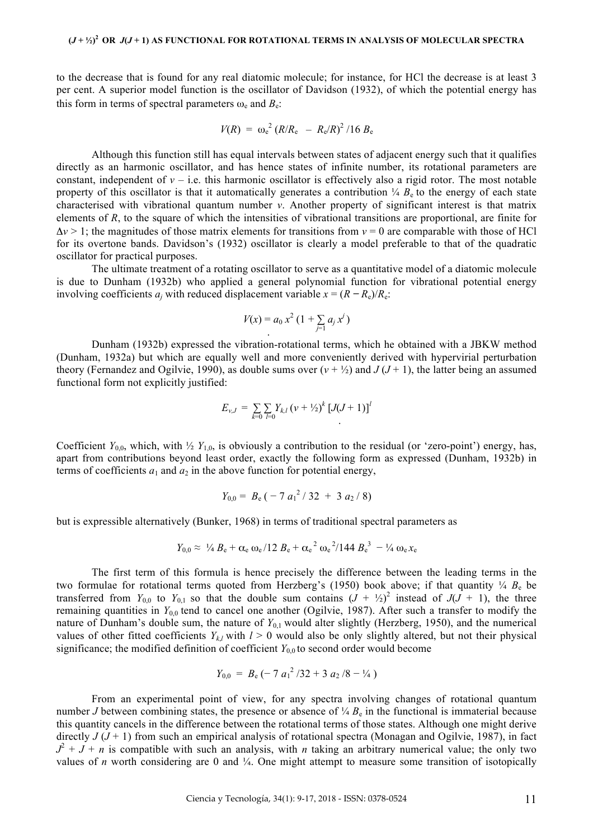to the decrease that is found for any real diatomic molecule; for instance, for HCl the decrease is at least 3 per cent. A superior model function is the oscillator of Davidson (1932), of which the potential energy has this form in terms of spectral parameters  $\omega_e$  and  $B_e$ .

$$
V(R) = \omega_e^2 (R/R_e - R_e/R)^2 / 16 B_e
$$

Although this function still has equal intervals between states of adjacent energy such that it qualifies directly as an harmonic oscillator, and has hence states of infinite number, its rotational parameters are constant, independent of  $v - i.e.$  this harmonic oscillator is effectively also a rigid rotor. The most notable property of this oscillator is that it automatically generates a contribution  $\frac{1}{4} B_e$  to the energy of each state characterised with vibrational quantum number *v*. Another property of significant interest is that matrix elements of *R*, to the square of which the intensities of vibrational transitions are proportional, are finite for  $\Delta v > 1$ ; the magnitudes of those matrix elements for transitions from  $v = 0$  are comparable with those of HCl for its overtone bands. Davidson's (1932) oscillator is clearly a model preferable to that of the quadratic oscillator for practical purposes.

The ultimate treatment of a rotating oscillator to serve as a quantitative model of a diatomic molecule is due to Dunham (1932b) who applied a general polynomial function for vibrational potential energy involving coefficients  $a_i$  with reduced displacement variable  $x = (R - R_e)/R_e$ .

$$
V(x) = a_0 x^2 (1 + \sum_{j=1} a_j x^j)
$$

Dunham (1932b) expressed the vibration-rotational terms, which he obtained with a JBKW method (Dunham, 1932a) but which are equally well and more conveniently derived with hypervirial perturbation theory (Fernandez and Ogilvie, 1990), as double sums over  $(v + \frac{1}{2})$  and  $J(J + 1)$ , the latter being an assumed functional form not explicitly justified:

$$
E_{\nu,J} = \sum_{k=0} \sum_{l=0} Y_{k,l} (v + \frac{1}{2})^k [J(J+1)]^l
$$

Coefficient  $Y_{0,0}$ , which, with  $\frac{1}{2} Y_{1,0}$ , is obviously a contribution to the residual (or 'zero-point') energy, has, apart from contributions beyond least order, exactly the following form as expressed (Dunham, 1932b) in terms of coefficients  $a_1$  and  $a_2$  in the above function for potential energy,

$$
Y_{0,0} = B_{\rm e} \left( -7 a_1^2 / 32 + 3 a_2 / 8 \right)
$$

but is expressible alternatively (Bunker, 1968) in terms of traditional spectral parameters as

$$
Y_{0,0} \approx \frac{1}{4} B_e + \alpha_e \omega_e / 12 B_e + \alpha_e^2 \omega_e^2 / 144 B_e^3 - \frac{1}{4} \omega_e x_e
$$

The first term of this formula is hence precisely the difference between the leading terms in the two formulae for rotational terms quoted from Herzberg's (1950) book above; if that quantity  $\frac{1}{4}$   $B_e$  be transferred from  $Y_{0,0}$  to  $Y_{0,1}$  so that the double sum contains  $(J + \frac{1}{2})^2$  instead of  $J(J + 1)$ , the three remaining quantities in  $Y_{0,0}$  tend to cancel one another (Ogilvie, 1987). After such a transfer to modify the nature of Dunham's double sum, the nature of  $Y_{0,1}$  would alter slightly (Herzberg, 1950), and the numerical values of other fitted coefficients  $Y_{k,l}$  with  $l > 0$  would also be only slightly altered, but not their physical significance; the modified definition of coefficient  $Y_{0,0}$  to second order would become

$$
Y_{0,0} = B_{\rm e} \left( -7 a_1^2 / 32 + 3 a_2 / 8 - \frac{1}{4} \right)
$$

From an experimental point of view, for any spectra involving changes of rotational quantum number *J* between combining states, the presence or absence of  $\frac{1}{4}$   $B_e$  in the functional is immaterial because this quantity cancels in the difference between the rotational terms of those states. Although one might derive directly  $J(J + 1)$  from such an empirical analysis of rotational spectra (Monagan and Ogilvie, 1987), in fact  $J^2 + J + n$  is compatible with such an analysis, with *n* taking an arbitrary numerical value; the only two values of *n* worth considering are 0 and  $\frac{1}{4}$ . One might attempt to measure some transition of isotopically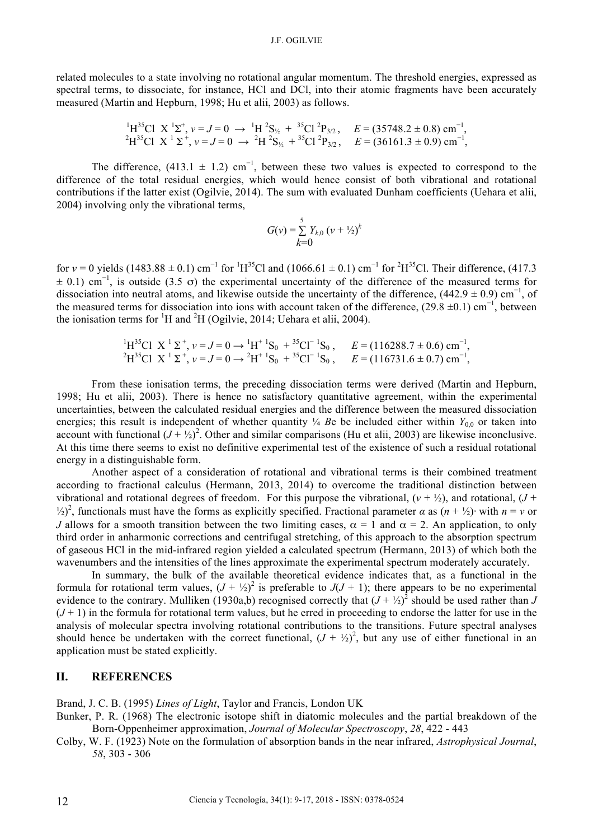related molecules to a state involving no rotational angular momentum. The threshold energies, expressed as spectral terms, to dissociate, for instance, HCl and DCl, into their atomic fragments have been accurately measured (Martin and Hepburn, 1998; Hu et alii, 2003) as follows.

$$
{}^{1}H^{35}Cl \ X \ {}^{1}\Sigma^{+}, \nu = J = 0 \rightarrow {}^{1}H {}^{2}S_{\frac{1}{2}} + {}^{35}Cl {}^{2}P_{3/2}, \quad E = (35748.2 \pm 0.8) \text{ cm}^{-1},
$$
  

$$
{}^{2}H^{35}Cl \ X \ {}^{1}\Sigma^{+}, \nu = J = 0 \rightarrow {}^{2}H {}^{2}S_{\frac{1}{2}} + {}^{35}Cl {}^{2}P_{3/2}, \quad E = (36161.3 \pm 0.9) \text{ cm}^{-1},
$$

The difference, (413.1  $\pm$  1.2) cm<sup>-1</sup>, between these two values is expected to correspond to the difference of the total residual energies, which would hence consist of both vibrational and rotational contributions if the latter exist (Ogilvie, 2014). The sum with evaluated Dunham coefficients (Uehara et alii, 2004) involving only the vibrational terms,

$$
G(v) = \sum_{k=0}^{5} Y_{k,0} (v + \frac{1}{2})^k
$$

for  $v = 0$  yields (1483.88 ± 0.1) cm<sup>-1</sup> for <sup>1</sup>H<sup>35</sup>Cl and (1066.61 ± 0.1) cm<sup>-1</sup> for <sup>2</sup>H<sup>35</sup>Cl. Their difference, (417.3) *±* 0.1) cm<sup>−</sup><sup>1</sup> , is outside (3.5 σ) the experimental uncertainty of the difference of the measured terms for dissociation into neutral atoms, and likewise outside the uncertainty of the difference,  $(442.9 \pm 0.9)$  cm<sup>-1</sup>, of the measured terms for dissociation into ions with account taken of the difference, (29.8 *±*0.1) cm<sup>−</sup><sup>1</sup> , between the ionisation terms for  ${}^{1}H$  and  ${}^{2}H$  (Ogilvie, 2014; Uehara et alii, 2004).

1 H35Cl X 1 Σ <sup>+</sup> , *v* = *J* = 0 *→* <sup>1</sup> H<sup>+</sup> <sup>1</sup> S0 + 35Cl<sup>−</sup> <sup>1</sup> S0 , *E* = (116288.7 *±* 0.6) cm<sup>−</sup><sup>1</sup> , 2 H35Cl X 1 Σ <sup>+</sup> , *v* = *J* = 0 *→* <sup>2</sup> H<sup>+</sup> <sup>1</sup> S0 + 35Cl<sup>−</sup> <sup>1</sup> S0 , *E* = (116731.6 *±* 0.7) cm<sup>−</sup><sup>1</sup> ,

From these ionisation terms, the preceding dissociation terms were derived (Martin and Hepburn, 1998; Hu et alii, 2003). There is hence no satisfactory quantitative agreement, within the experimental uncertainties, between the calculated residual energies and the difference between the measured dissociation energies; this result is independent of whether quantity  $\frac{1}{4}$  *B*e be included either within  $Y_{0,0}$  or taken into account with functional  $(J + \frac{1}{2})^2$ . Other and similar comparisons (Hu et alii, 2003) are likewise inconclusive. At this time there seems to exist no definitive experimental test of the existence of such a residual rotational energy in a distinguishable form.

Another aspect of a consideration of rotational and vibrational terms is their combined treatment according to fractional calculus (Hermann, 2013, 2014) to overcome the traditional distinction between vibrational and rotational degrees of freedom. For this purpose the vibrational,  $(v + \frac{1}{2})$ , and rotational,  $(J + \frac{1}{2})$  $\binom{1}{2}^2$ , functionals must have the forms as explicitly specified. Fractional parameter  $\alpha$  as  $(n + \frac{1}{2})^{\alpha}$  with  $n = \nu$  or *J* allows for a smooth transition between the two limiting cases,  $\alpha = 1$  and  $\alpha = 2$ . An application, to only third order in anharmonic corrections and centrifugal stretching, of this approach to the absorption spectrum of gaseous HCl in the mid-infrared region yielded a calculated spectrum (Hermann, 2013) of which both the wavenumbers and the intensities of the lines approximate the experimental spectrum moderately accurately.

In summary, the bulk of the available theoretical evidence indicates that, as a functional in the formula for rotational term values,  $(J + \frac{1}{2})^2$  is preferable to  $J(J + 1)$ ; there appears to be no experimental evidence to the contrary. Mulliken (1930a,b) recognised correctly that  $(J + \frac{1}{2})^2$  should be used rather than *J*  $(J+1)$  in the formula for rotational term values, but he erred in proceeding to endorse the latter for use in the analysis of molecular spectra involving rotational contributions to the transitions. Future spectral analyses should hence be undertaken with the correct functional,  $(J + \frac{1}{2})^2$ , but any use of either functional in an application must be stated explicitly.

## **II. REFERENCES**

Brand, J. C. B. (1995) *Lines of Light*, Taylor and Francis, London UK

- Bunker, P. R. (1968) The electronic isotope shift in diatomic molecules and the partial breakdown of the Born-Oppenheimer approximation, *Journal of Molecular Spectroscopy*, *28*, 422 - 443
- Colby, W. F. (1923) Note on the formulation of absorption bands in the near infrared, *Astrophysical Journal*, *58*, 303 - 306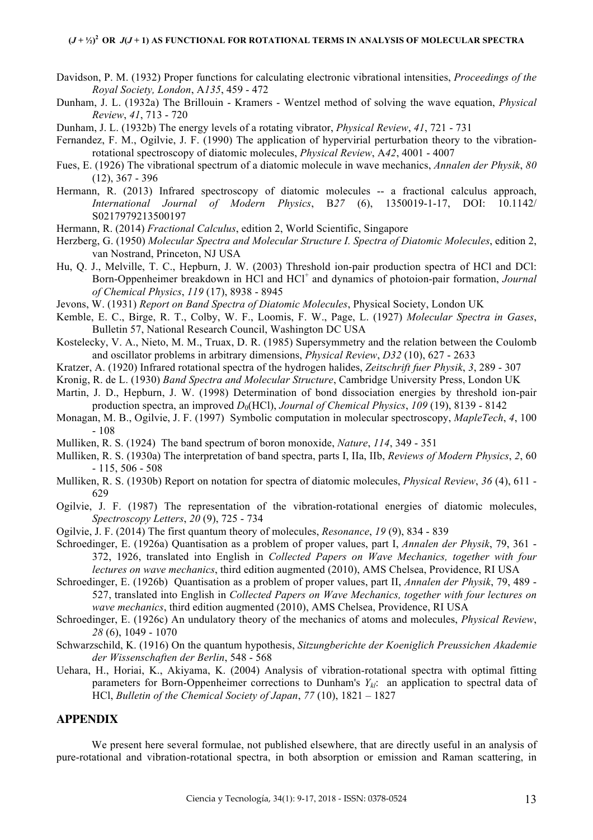- Davidson, P. M. (1932) Proper functions for calculating electronic vibrational intensities, *Proceedings of the Royal Society, London*, A*135*, 459 - 472
- Dunham, J. L. (1932a) The Brillouin Kramers Wentzel method of solving the wave equation, *Physical Review*, *41*, 713 - 720
- Dunham, J. L. (1932b) The energy levels of a rotating vibrator, *Physical Review*, *41*, 721 731
- Fernandez, F. M., Ogilvie, J. F. (1990) The application of hypervirial perturbation theory to the vibrationrotational spectroscopy of diatomic molecules, *Physical Review*, A*42*, 4001 - 4007
- Fues, E. (1926) The vibrational spectrum of a diatomic molecule in wave mechanics, *Annalen der Physik*, *80* (12), 367 - 396
- Hermann, R. (2013) Infrared spectroscopy of diatomic molecules -- a fractional calculus approach, *International Journal of Modern Physics*, B*27* (6), 1350019-1-17, DOI: 10.1142/ S0217979213500197
- Hermann, R. (2014) *Fractional Calculus*, edition 2, World Scientific, Singapore
- Herzberg, G. (1950) *Molecular Spectra and Molecular Structure I. Spectra of Diatomic Molecules*, edition 2, van Nostrand, Princeton, NJ USA
- Hu, Q. J., Melville, T. C., Hepburn, J. W. (2003) Threshold ion-pair production spectra of HCl and DCl: Born-Oppenheimer breakdown in HCl and HCl<sup>+</sup> and dynamics of photoion-pair formation, *Journal of Chemical Physics*, *119* (17), 8938 - 8945
- Jevons, W. (1931) *Report on Band Spectra of Diatomic Molecules*, Physical Society, London UK
- Kemble, E. C., Birge, R. T., Colby, W. F., Loomis, F. W., Page, L. (1927) *Molecular Spectra in Gases*, Bulletin 57, National Research Council, Washington DC USA
- Kostelecky, V. A., Nieto, M. M., Truax, D. R. (1985) Supersymmetry and the relation between the Coulomb and oscillator problems in arbitrary dimensions, *Physical Review*, *D32* (10), 627 - 2633
- Kratzer, A. (1920) Infrared rotational spectra of the hydrogen halides, *Zeitschrift fuer Physik*, *3*, 289 307
- Kronig, R. de L. (1930) *Band Spectra and Molecular Structure*, Cambridge University Press, London UK
- Martin, J. D., Hepburn, J. W. (1998) Determination of bond dissociation energies by threshold ion-pair production spectra, an improved *D*0(HCl), *Journal of Chemical Physics*, *109* (19), 8139 - 8142
- Monagan, M. B., Ogilvie, J. F. (1997) Symbolic computation in molecular spectroscopy, *MapleTech*, *4*, 100 - 108
- Mulliken, R. S. (1924) The band spectrum of boron monoxide, *Nature*, *114*, 349 351
- Mulliken, R. S. (1930a) The interpretation of band spectra, parts I, IIa, IIb, *Reviews of Modern Physics*, *2*, 60  $-115, 506 - 508$
- Mulliken, R. S. (1930b) Report on notation for spectra of diatomic molecules, *Physical Review*, *36* (4), 611 629
- Ogilvie, J. F. (1987) The representation of the vibration-rotational energies of diatomic molecules, *Spectroscopy Letters*, *20* (9), 725 - 734
- Ogilvie, J. F. (2014) The first quantum theory of molecules, *Resonance*, *19* (9), 834 839
- Schroedinger, E. (1926a) Quantisation as a problem of proper values, part I, *Annalen der Physik*, 79, 361 372, 1926, translated into English in *Collected Papers on Wave Mechanics, together with four lectures on wave mechanics*, third edition augmented (2010), AMS Chelsea, Providence, RI USA
- Schroedinger, E. (1926b) Quantisation as a problem of proper values, part II, *Annalen der Physik*, 79, 489 527, translated into English in *Collected Papers on Wave Mechanics, together with four lectures on wave mechanics*, third edition augmented (2010), AMS Chelsea, Providence, RI USA
- Schroedinger, E. (1926c) An undulatory theory of the mechanics of atoms and molecules, *Physical Review*, *28* (6), 1049 - 1070
- Schwarzschild, K. (1916) On the quantum hypothesis, *Sitzungberichte der Koeniglich Preussichen Akademie der Wissenschaften der Berlin*, 548 - 568
- Uehara, H., Horiai, K., Akiyama, K. (2004) Analysis of vibration-rotational spectra with optimal fitting parameters for Born-Oppenheimer corrections to Dunham's *Ykl*: an application to spectral data of HCl, *Bulletin of the Chemical Society of Japan*, *77* (10), 1821 – 1827

## **APPENDIX**

We present here several formulae, not published elsewhere, that are directly useful in an analysis of pure-rotational and vibration-rotational spectra, in both absorption or emission and Raman scattering, in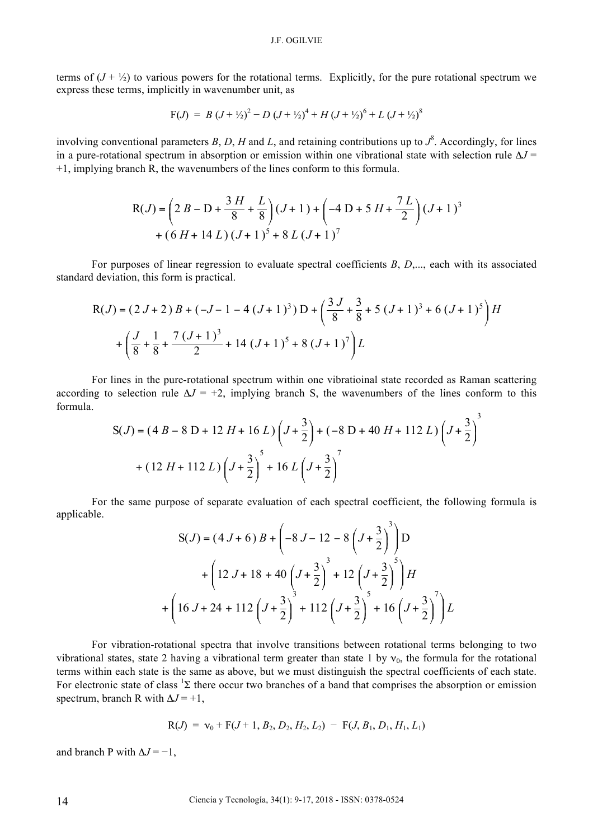terms of  $(J + \frac{1}{2})$  to various powers for the rotational terms. Explicitly, for the pure rotational spectrum we express these terms, implicitly in wavenumber unit, as

$$
F(J) = B (J + \frac{1}{2})^2 - D (J + \frac{1}{2})^4 + H (J + \frac{1}{2})^6 + L (J + \frac{1}{2})^8
$$

involving conventional parameters  $B$ ,  $D$ ,  $H$  and  $L$ , and retaining contributions up to  $J^8$ . Accordingly, for lines in a pure-rotational spectrum in absorption or emission within one vibrational state with selection rule Δ*J* = +1, implying branch R, the wavenumbers of the lines conform to this formula.

$$
R(J) = \left(2B - D + \frac{3H}{8} + \frac{L}{8}\right)(J+1) + \left(-4D + 5H + \frac{7L}{2}\right)(J+1)^3
$$
  
+  $(6H + 14L)(J+1)^5 + 8L(J+1)^7$ 

For purposes of linear regression to evaluate spectral coefficients *B*, *D*,..., each with its associated standard deviation, this form is practical.

$$
R(J) = (2 J + 2) B + (-J - 1 - 4 (J + 1)^{3}) D + \left(\frac{3 J}{8} + \frac{3}{8} + 5 (J + 1)^{3} + 6 (J + 1)^{5}\right) H
$$
  
+  $\left(\frac{J}{8} + \frac{1}{8} + \frac{7 (J + 1)^{3}}{2} + 14 (J + 1)^{5} + 8 (J + 1)^{7}\right) L$ 

For lines in the pure-rotational spectrum within one vibratioinal state recorded as Raman scattering according to selection rule  $\Delta J = +2$ , implying branch S, the wavenumbers of the lines conform to this formula. 3

$$
S(J) = (4 B - 8 D + 12 H + 16 L) \left( J + \frac{3}{2} \right) + (-8 D + 40 H + 112 L) \left( J + \frac{3}{2} \right)
$$
  
+ 
$$
(12 H + 112 L) \left( J + \frac{3}{2} \right)^5 + 16 L \left( J + \frac{3}{2} \right)^7
$$

For the same purpose of separate evaluation of each spectral coefficient, the following formula is applicable.

$$
S(J) = (4 J + 6) B + \left(-8 J - 12 - 8 \left(J + \frac{3}{2}\right)^3\right) D
$$
  
+  $\left(12 J + 18 + 40 \left(J + \frac{3}{2}\right)^3 + 12 \left(J + \frac{3}{2}\right)^5\right) H$   
+  $\left(16 J + 24 + 112 \left(J + \frac{3}{2}\right)^3 + 112 \left(J + \frac{3}{2}\right)^5 + 16 \left(J + \frac{3}{2}\right)^7\right) L$ 

For vibration-rotational spectra that involve transitions between rotational terms belonging to two vibrational states, state 2 having a vibrational term greater than state 1 by  $v_0$ , the formula for the rotational terms within each state is the same as above, but we must distinguish the spectral coefficients of each state. For electronic state of class  ${}^{1}\Sigma$  there occur two branches of a band that comprises the absorption or emission spectrum, branch R with  $\Delta J = +1$ ,

$$
R(J) = v_0 + F(J+1, B_2, D_2, H_2, L_2) - F(J, B_1, D_1, H_1, L_1)
$$

and branch P with  $\Delta J = -1$ ,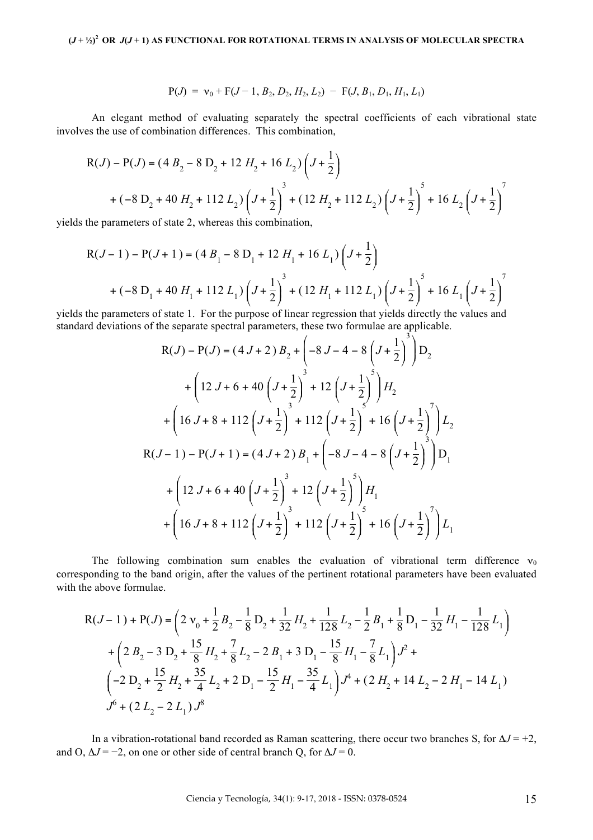$$
P(J) = v_0 + F(J-1, B_2, D_2, H_2, L_2) - F(J, B_1, D_1, H_1, L_1)
$$

An elegant method of evaluating separately the spectral coefficients of each vibrational state involves the use of combination differences. This combination,

$$
R(J) - P(J) = (4 B_2 - 8 D_2 + 12 H_2 + 16 L_2) \left(J + \frac{1}{2}\right)
$$
  
+  $(-8 D_2 + 40 H_2 + 112 L_2) \left(J + \frac{1}{2}\right)^3 + (12 H_2 + 112 L_2) \left(J + \frac{1}{2}\right)^5 + 16 L_2 \left(J + \frac{1}{2}\right)^7$ 

yields the parameters of state 2, whereas this combination,

$$
R(J-1) - P(J+1) = (4 B_1 - 8 D_1 + 12 H_1 + 16 L_1) (J + \frac{1}{2})
$$
  
+  $(-8 D_1 + 40 H_1 + 112 L_1) (J + \frac{1}{2})^3 + (12 H_1 + 112 L_1) (J + \frac{1}{2})^5 + 16 L_1 (J + \frac{1}{2})^7$ 

yields the parameters of state 1. For the purpose of linear regression that yields directly the values and standard deviations of the separate spectral parameters, these two formulae are applicable.

$$
R(J) - P(J) = (4 J + 2) B_2 + \left(-8 J - 4 - 8 \left(J + \frac{1}{2}\right)^3\right) D_2
$$
  
+ 
$$
\left(12 J + 6 + 40 \left(J + \frac{1}{2}\right)^3 + 12 \left(J + \frac{1}{2}\right)^5\right) H_2
$$
  
+ 
$$
\left(16 J + 8 + 112 \left(J + \frac{1}{2}\right)^3 + 112 \left(J + \frac{1}{2}\right)^5 + 16 \left(J + \frac{1}{2}\right)^7\right) L_2
$$
  

$$
R(J - 1) - P(J + 1) = (4 J + 2) B_1 + \left(-8 J - 4 - 8 \left(J + \frac{1}{2}\right)^3\right) D_1
$$
  
+ 
$$
\left(12 J + 6 + 40 \left(J + \frac{1}{2}\right)^3 + 12 \left(J + \frac{1}{2}\right)^5\right) H_1
$$
  
+ 
$$
\left(16 J + 8 + 112 \left(J + \frac{1}{2}\right)^3 + 112 \left(J + \frac{1}{2}\right)^5 + 16 \left(J + \frac{1}{2}\right)^7\right) L_1
$$

The following combination sum enables the evaluation of vibrational term difference  $v_0$ corresponding to the band origin, after the values of the pertinent rotational parameters have been evaluated with the above formulae.

$$
R(J-1) + P(J) = \left(2v_0 + \frac{1}{2}B_2 - \frac{1}{8}D_2 + \frac{1}{32}H_2 + \frac{1}{128}L_2 - \frac{1}{2}B_1 + \frac{1}{8}D_1 - \frac{1}{32}H_1 - \frac{1}{128}L_1\right)
$$
  
+  $\left(2B_2 - 3D_2 + \frac{15}{8}H_2 + \frac{7}{8}L_2 - 2B_1 + 3D_1 - \frac{15}{8}H_1 - \frac{7}{8}L_1\right)J^2 +$   
 $\left(-2D_2 + \frac{15}{2}H_2 + \frac{35}{4}L_2 + 2D_1 - \frac{15}{2}H_1 - \frac{35}{4}L_1\right)J^4 + (2H_2 + 14L_2 - 2H_1 - 14L_1)$   
 $J^6 + (2L_2 - 2L_1)J^8$ 

In a vibration-rotational band recorded as Raman scattering, there occur two branches S, for  $\Delta J = +2$ , and O,  $\Delta J = -2$ , on one or other side of central branch Q, for  $\Delta J = 0$ .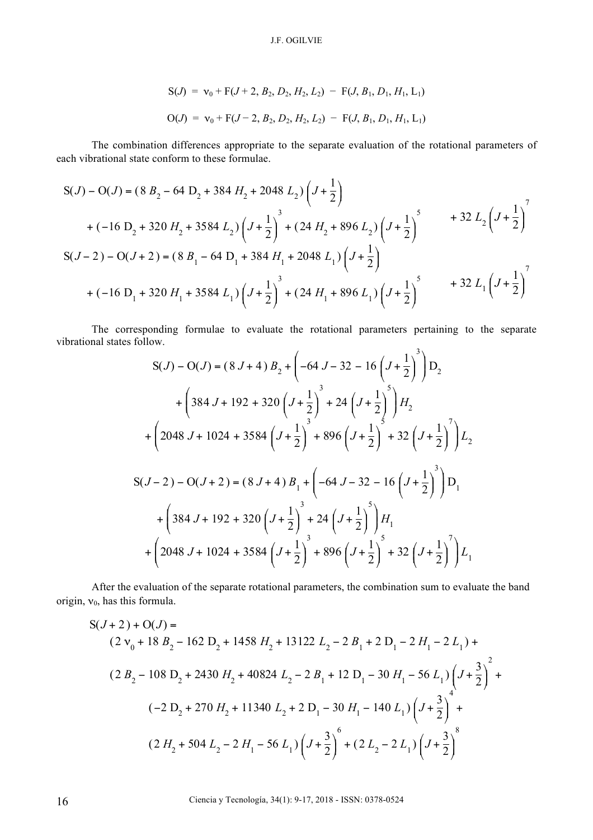$$
S(J) = v_0 + F(J + 2, B_2, D_2, H_2, L_2) - F(J, B_1, D_1, H_1, L_1)
$$
  

$$
O(J) = v_0 + F(J - 2, B_2, D_2, H_2, L_2) - F(J, B_1, D_1, H_1, L_1)
$$

The combination differences appropriate to the separate evaluation of the rotational parameters of each vibrational state conform to these formulae.

$$
S(J) - O(J) = (8 B_2 - 64 D_2 + 384 H_2 + 2048 L_2) \left( J + \frac{1}{2} \right)
$$
  
+  $(-16 D_2 + 320 H_2 + 3584 L_2) \left( J + \frac{1}{2} \right)^3 + (24 H_2 + 896 L_2) \left( J + \frac{1}{2} \right)^5$   

$$
S(J - 2) - O(J + 2) = (8 B_1 - 64 D_1 + 384 H_1 + 2048 L_1) \left( J + \frac{1}{2} \right)
$$
  
+  $(-16 D_1 + 320 H_1 + 3584 L_1) \left( J + \frac{1}{2} \right)^3 + (24 H_1 + 896 L_1) \left( J + \frac{1}{2} \right)^5$   
+  $32 L_1 \left( J + \frac{1}{2} \right)^7$ 

The corresponding formulae to evaluate the rotational parameters pertaining to the separate vibrational states follow.

$$
S(J) - O(J) = (8 J + 4) B_{2} + \left(-64 J - 32 - 16 \left(J + \frac{1}{2}\right)^{3}\right) D_{2}
$$
  
+ 
$$
\left(384 J + 192 + 320 \left(J + \frac{1}{2}\right)^{3} + 24 \left(J + \frac{1}{2}\right)^{5}\right) H_{2}
$$
  
+ 
$$
\left(2048 J + 1024 + 3584 \left(J + \frac{1}{2}\right)^{3} + 896 \left(J + \frac{1}{2}\right)^{5} + 32 \left(J + \frac{1}{2}\right)^{7}\right) L_{2}
$$
  

$$
S(J - 2) - O(J + 2) = (8 J + 4) B_{1} + \left(-64 J - 32 - 16 \left(J + \frac{1}{2}\right)^{3}\right) D_{1}
$$
  
+ 
$$
\left(384 J + 192 + 320 \left(J + \frac{1}{2}\right)^{3} + 24 \left(J + \frac{1}{2}\right)^{5}\right) H_{1}
$$
  
+ 
$$
\left(2048 J + 1024 + 3584 \left(J + \frac{1}{2}\right)^{3} + 896 \left(J + \frac{1}{2}\right)^{7} + 32 \left(J + \frac{1}{2}\right)^{7}\right) L_{1}
$$

After the evaluation of the separate rotational parameters, the combination sum to evaluate the band origin,  $v_0$ , has this formula.

$$
S(J+2) + O(J) =
$$
\n
$$
(2v_0 + 18B_2 - 162D_2 + 1458H_2 + 13122L_2 - 2B_1 + 2D_1 - 2H_1 - 2L_1) +
$$
\n
$$
(2B_2 - 108D_2 + 2430H_2 + 40824L_2 - 2B_1 + 12D_1 - 30H_1 - 56L_1)\left(J + \frac{3}{2}\right)^2 +
$$
\n
$$
(-2D_2 + 270H_2 + 11340L_2 + 2D_1 - 30H_1 - 140L_1)\left(J + \frac{3}{2}\right)^4 +
$$
\n
$$
(2H_2 + 504L_2 - 2H_1 - 56L_1)\left(J + \frac{3}{2}\right)^6 + (2L_2 - 2L_1)\left(J + \frac{3}{2}\right)^8
$$